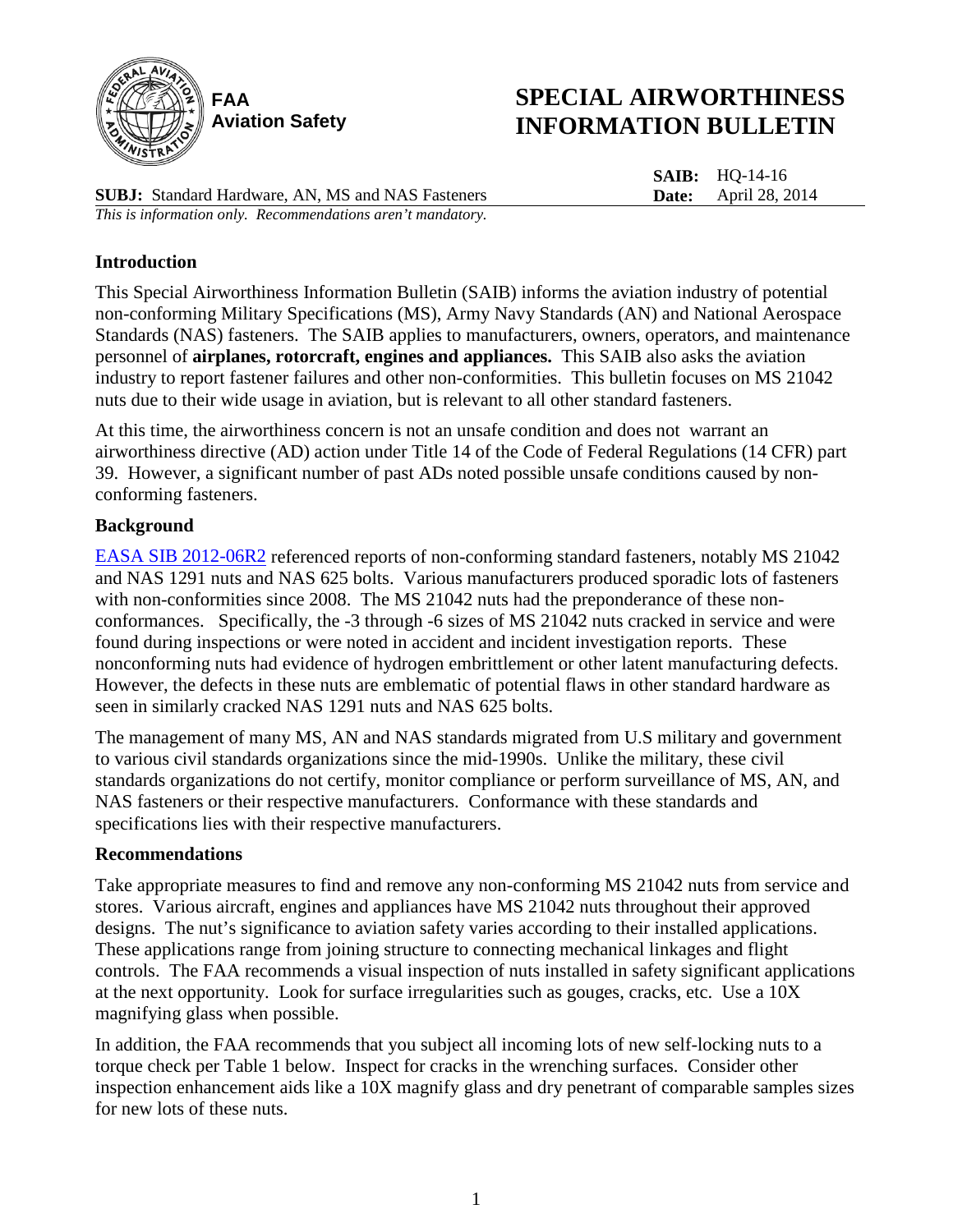

# **SPECIAL AIRWORTHINESS INFORMATION BULLETIN**

**SAIB:** HQ-14-16 **Date:** April 28, 2014

**SUBJ:** Standard Hardware, AN, MS and NAS Fasteners *This is information only. Recommendations aren't mandatory.*

## **Introduction**

This Special Airworthiness Information Bulletin (SAIB) informs the aviation industry of potential non-conforming Military Specifications (MS), Army Navy Standards (AN) and National Aerospace Standards (NAS) fasteners. The SAIB applies to manufacturers, owners, operators, and maintenance personnel of **airplanes, rotorcraft, engines and appliances.** This SAIB also asks the aviation industry to report fastener failures and other non-conformities. This bulletin focuses on MS 21042 nuts due to their wide usage in aviation, but is relevant to all other standard fasteners.

At this time, the airworthiness concern is not an unsafe condition and does not warrant an airworthiness directive (AD) action under Title 14 of the Code of Federal Regulations (14 CFR) part 39. However, a significant number of past ADs noted possible unsafe conditions caused by nonconforming fasteners.

### **Background**

[EASA SIB 2012-06R2](http://ad.easa.europa.eu/ad/2012-06R2) referenced reports of non-conforming standard fasteners, notably MS 21042 and NAS 1291 nuts and NAS 625 bolts. Various manufacturers produced sporadic lots of fasteners with non-conformities since 2008. The MS 21042 nuts had the preponderance of these nonconformances. Specifically, the -3 through -6 sizes of MS 21042 nuts cracked in service and were found during inspections or were noted in accident and incident investigation reports. These nonconforming nuts had evidence of hydrogen embrittlement or other latent manufacturing defects. However, the defects in these nuts are emblematic of potential flaws in other standard hardware as seen in similarly cracked NAS 1291 nuts and NAS 625 bolts.

The management of many MS, AN and NAS standards migrated from U.S military and government to various civil standards organizations since the mid-1990s. Unlike the military, these civil standards organizations do not certify, monitor compliance or perform surveillance of MS, AN, and NAS fasteners or their respective manufacturers. Conformance with these standards and specifications lies with their respective manufacturers.

#### **Recommendations**

Take appropriate measures to find and remove any non-conforming MS 21042 nuts from service and stores. Various aircraft, engines and appliances have MS 21042 nuts throughout their approved designs. The nut's significance to aviation safety varies according to their installed applications. These applications range from joining structure to connecting mechanical linkages and flight controls. The FAA recommends a visual inspection of nuts installed in safety significant applications at the next opportunity. Look for surface irregularities such as gouges, cracks, etc. Use a 10X magnifying glass when possible.

In addition, the FAA recommends that you subject all incoming lots of new self-locking nuts to a torque check per Table 1 below. Inspect for cracks in the wrenching surfaces. Consider other inspection enhancement aids like a 10X magnify glass and dry penetrant of comparable samples sizes for new lots of these nuts.